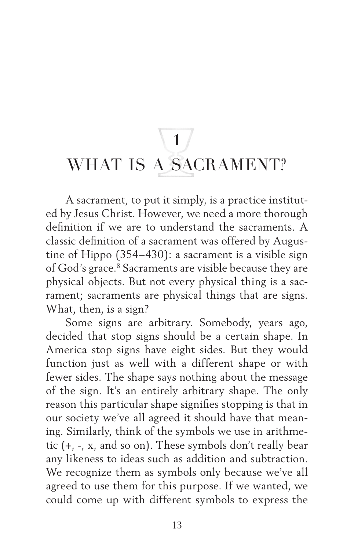## **1** WHAT IS A SACRAMENT?

A sacrament, to put it simply, is a practice instituted by Jesus Christ. However, we need a more thorough definition if we are to understand the sacraments. A classic definition of a sacrament was offered by Augustine of Hippo (354–430): a sacrament is a visible sign of God's grace.<sup>8</sup> Sacraments are visible because they are physical objects. But not every physical thing is a sacrament; sacraments are physical things that are signs. What, then, is a sign?

Some signs are arbitrary. Somebody, years ago, decided that stop signs should be a certain shape. In America stop signs have eight sides. But they would function just as well with a different shape or with fewer sides. The shape says nothing about the message of the sign. It's an entirely arbitrary shape. The only reason this particular shape signifies stopping is that in our society we've all agreed it should have that meaning. Similarly, think of the symbols we use in arithmetic (+, -, x, and so on). These symbols don't really bear any likeness to ideas such as addition and subtraction. We recognize them as symbols only because we've all agreed to use them for this purpose. If we wanted, we could come up with different symbols to express the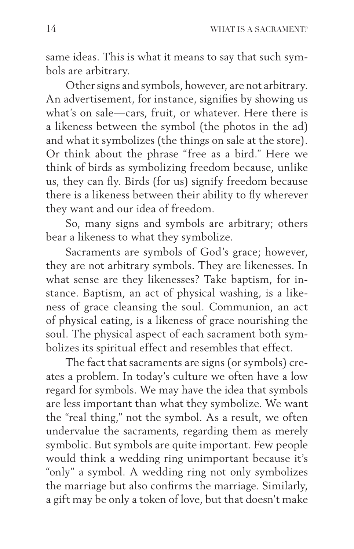same ideas. This is what it means to say that such symbols are arbitrary.

Other signs and symbols, however, are not arbitrary. An advertisement, for instance, signifies by showing us what's on sale—cars, fruit, or whatever. Here there is a likeness between the symbol (the photos in the ad) and what it symbolizes (the things on sale at the store). Or think about the phrase "free as a bird." Here we think of birds as symbolizing freedom because, unlike us, they can fly. Birds (for us) signify freedom because there is a likeness between their ability to fly wherever they want and our idea of freedom.

So, many signs and symbols are arbitrary; others bear a likeness to what they symbolize.

Sacraments are symbols of God's grace; however, they are not arbitrary symbols. They are likenesses. In what sense are they likenesses? Take baptism, for instance. Baptism, an act of physical washing, is a likeness of grace cleansing the soul. Communion, an act of physical eating, is a likeness of grace nourishing the soul. The physical aspect of each sacrament both symbolizes its spiritual effect and resembles that effect.

The fact that sacraments are signs (or symbols) creates a problem. In today's culture we often have a low regard for symbols. We may have the idea that symbols are less important than what they symbolize. We want the "real thing," not the symbol. As a result, we often undervalue the sacraments, regarding them as merely symbolic. But symbols are quite important. Few people would think a wedding ring unimportant because it's "only" a symbol. A wedding ring not only symbolizes the marriage but also confirms the marriage. Similarly, a gift may be only a token of love, but that doesn't make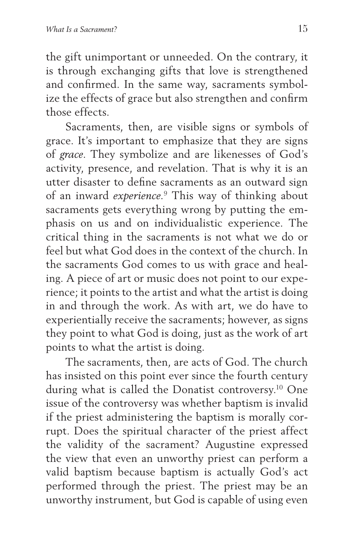the gift unimportant or unneeded. On the contrary, it is through exchanging gifts that love is strengthened and confirmed. In the same way, sacraments symbolize the effects of grace but also strengthen and confirm those effects.

Sacraments, then, are visible signs or symbols of grace. It's important to emphasize that they are signs of *grace*. They symbolize and are likenesses of God's activity, presence, and revelation. That is why it is an utter disaster to define sacraments as an outward sign of an inward *experience*. 9 This way of thinking about sacraments gets everything wrong by putting the emphasis on us and on individualistic experience. The critical thing in the sacraments is not what we do or feel but what God does in the context of the church. In the sacraments God comes to us with grace and healing. A piece of art or music does not point to our experience; it points to the artist and what the artist is doing in and through the work. As with art, we do have to experientially receive the sacraments; however, as signs they point to what God is doing, just as the work of art points to what the artist is doing.

The sacraments, then, are acts of God. The church has insisted on this point ever since the fourth century during what is called the Donatist controversy.<sup>10</sup> One issue of the controversy was whether baptism is invalid if the priest administering the baptism is morally corrupt. Does the spiritual character of the priest affect the validity of the sacrament? Augustine expressed the view that even an unworthy priest can perform a valid baptism because baptism is actually God's act performed through the priest. The priest may be an unworthy instrument, but God is capable of using even